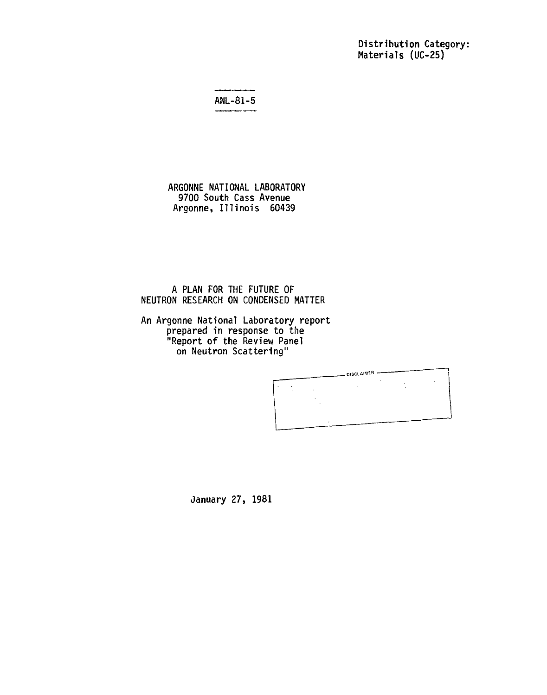**Distribution Category: Materials (UC-25)**

**ANL-81-5**

**ARGONNE NATIONAL LABORATORY 9700 South Cass Avenue Argonne, Illinois 60439**

**A PLAN FOR THE FUTURE OF NEUTRON RESEARCH ON CONDENSED HATTER**

**An Argonne National Laboratory report prepared in response to the "Report of the Review Panel on Neutron Scattering"**



January 27, 1981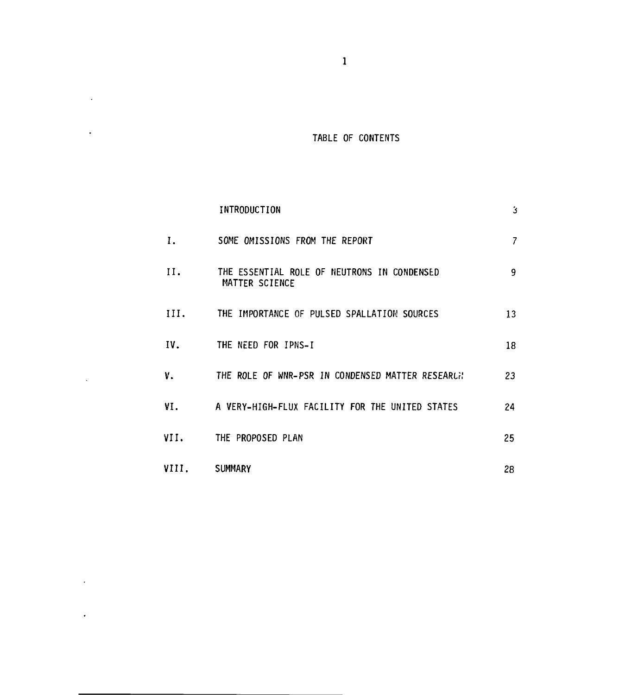# **TABLE OF CONTENTS**

|       | INTRODUCTION                                                  | 3.              |
|-------|---------------------------------------------------------------|-----------------|
| 1.    | SOME OMISSIONS FROM THE REPORT                                | 7               |
| Н.    | THE ESSENTIAL ROLE OF NEUTRONS IN CONDENSED<br>MATTER SCIENCE | 9               |
| HI.   | THE IMPORTANCE OF PULSED SPALLATION SOURCES                   | 13 <sup>°</sup> |
| IV.   | THE NEED FOR IPNS-I                                           | 18              |
| ٧.    | THE ROLE OF WNR-PSR IN CONDENSED MATTER RESEARCH              | 23              |
| VI.   | A VERY-HIGH-FLUX FACILITY FOR THE UNITED STATES               | 24              |
| VII.  | THE PROPOSED PLAN                                             | 25              |
| VIII. | SUMMARY                                                       | 28              |

 $\sim$   $\sim$ 

 $\ddot{\phantom{a}}$ 

 $\sim 10^7$ 

 $\sim$ 

 $\overline{\phantom{a}}$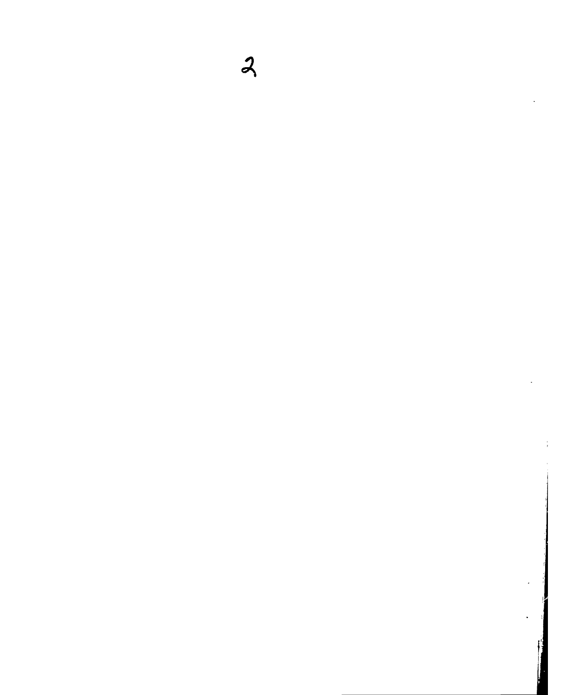$\boldsymbol{\lambda}$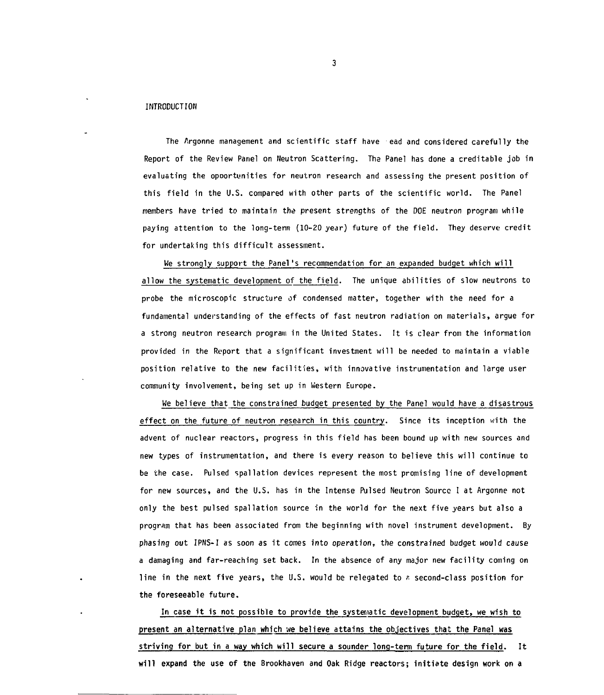#### INTRODUCTION

The Argonne management and scientific staff have ead and considered carefully the Report of the Review Panel on Neutron Scattering. The Panel has done a creditable job in evaluating the opoortunities for neutron research and assessing the present position of this field in the U.S. compared with other parts of the scientific world. The Panel members have tried to maintain the present strengths of the DOE neutron program while paying attention to the long-term (10-20 year) future of the field. They deserve credit for undertaking this difficult assessment.

We strongly support the Panel's recommendation for an expanded budget which will allow the systematic development of the field. The unique abilities of slow neutrons to probe the microscopic structure of condensed matter, together with the need for a fundamental understanding of the effects of fast neutron radiation on materials, argue for a strong neutron research program in the United States. It is clear from the information provided in the Report that a significant investment will be needed to maintain a viable position relative to the new facilities, with innovative instrumentation and large user community involvement, being set up in Western Europe.

We believe that the constrained budget presented by the Panel would have a disastrous effect on the future of neutron research in this country. Since its inception with the advent of nuclear reactors, progress in this field has been bound up with new sources and new types of instrumentation, and there is every reason to believe this will continue to be the case. Pulsed spallation devices represent the most promising line of development for new sources, and the U.S. has in the Intense Pulsed Neutron Source I at Argonne not only the best pulsed spallation source in the world for the next five years but also a program that has been associated from the beginning with novel instrument development. By phasing out IPNS-I as soon as it comes into operation, the constrained budget would cause a damaging and far-reaching set back. In the absence of any major new facility coming on line in the next five years, the U.S. would be relegated to  $\bar{\epsilon}$  second-class position for **the** foreseeable future.

In case **it** is **not** possible to provide **the** systematic development budget, we **wish to present an alternative plan which we believe** attains **the** objectives that **the Panel was striving for** but in **a way which will secure a sounder long-term future for the field. It will expand the use of the Brookhaven and Oak Ridge reactors; initiate design work on a**

 $\overline{3}$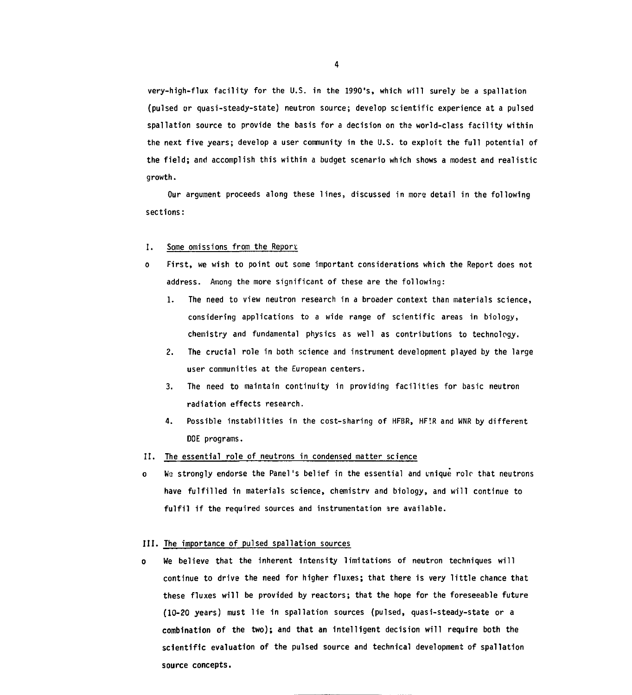**very-high-flux facility for the U.S. in the 1990's, which will surely be a spallation (pulsed or quasi-steady-state) neutron source; develop scientific experience at a pulsed spallation source to provide the basis for a decision on the world-class facility within the next five years; develop a user community in the U.S. to exploit the full potential of the field; and accomplish this within a budget scenario which shows a modest and realistic growth.**

**Our argument proceeds along these lines, discussed in more detail in the following sections:**

#### **I. Some omissions from the Report**

- **o First, we wish to point out some important considerations which the Report does not address. Among the more significant of these are the following:**
	- **1. The need to view neutron research in a broader context than materials science, considering applications to a wide range of scientific areas in biology, chemistry and fundamental physics as well as contributions to technology.**
	- **2. The crucial role in both science and instrument development played by the large user communities at the European centers.**
	- **3. The need to maintain continuity in providing facilities for basic neutron radiation effects research.**
	- **4. Possible instabilities in the cost-sharing of HFBR, HF!R and WNR by different DOE programs.**

# **II. The essential role of neutrons in condensed matter science**

**o** We strongly endorse the Panel's belief in the essential and unique role that neutrons **have fulfilled in materials science, chemistrv and biology, and will continue to fulfil if the required sources and instrumentation are available.**

#### **III. The importance of pulsed spallation sources**

**o We believe that the inherent intensity limitations of neutron techniques will continue to drive the need for higher fluxes; that there is very little chance that these fluxes will be provided by reactors; that the hope for the foreseeable future (10-20 years) must lie in spallation sources (pulsed, quasi-steady-state or a combination of the two); and that an intelligent decision will require both the scientific evaluation of the pulsed source and technical development of spallation source concepts.**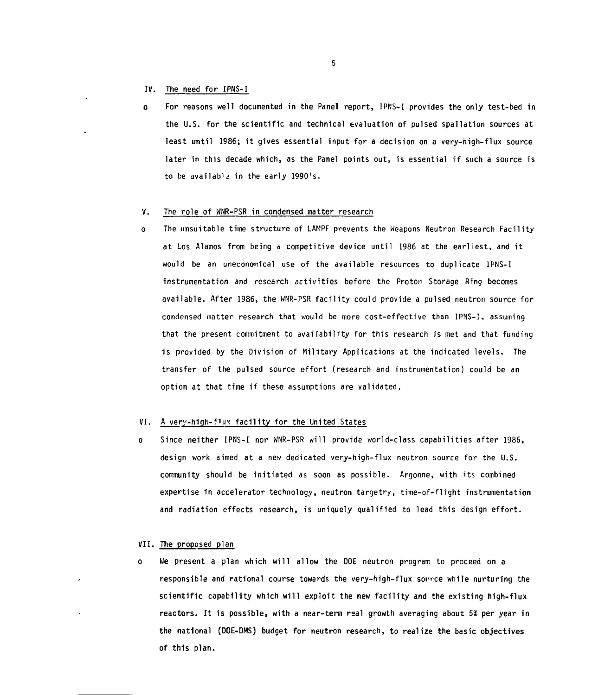- **IV. The need for IPNS-I**
- **o For reasons well documented in the Panel report, IPNS-I provides the only test-bed in the U.S. for the scientific and technical evaluation of pulsed spallation sources at least until 1986; it gives essential input for a decision on a very-high-flux source later in this decade which, as the Panel points out, is essential if such a source is to be availably in the early 1990's.**

#### **V. The role of WNR-PSR in condensed matter research**

**o The unsuitable time structure of LAMPF prevents the Weapons Neutron Research Facility at Los Alamos from being a competitive device until 1986 at the earliest, and it would be an uneconomical use of the available resources to duplicate IPNS-I instrumentation and research activities before the Proton Storage Ring becomes available. After 1986, the WNR-PSR facility could provide a pulsed neutron source for condensed matter research that would be more cost-effective than IPNS-I, assuming that the present commitment to availability for this research is met and that funding is provided by the Division of Military Applications at the indicated levels. The transfer of the pulsed source effort (research and instrumentation) could be an option at that time if these assumptions are validated.**

#### **VI. A very-high-flu\*, facility for the United States**

**o Since neither IPNS-I nor WNR-PSR wrill provide world-class capabilities after 1986, design work aimed at a new dedicated very-high-flux neutron source for the U.S. community should be initiated as soon as possible. Argonne, with its combined expertise in accelerator technology, neutron targetry, time-of-flight instrumentation and radiation effects research, is uniquely qualified to lead this design effort.**

# **VII. The proposed plan**

**o We present a plan which will allow the DOE neutron program to proceed on a responsible and rational course towards the very-high-flux soi'rce while nurturing the scientific capability which will exploit the new facility and the existing high-flux reactors. It is possible, with a near-term real growth averaging about 5% per year in the national (DOE-DMS) budget for neutron research, to realize the basic objectives of this plan.**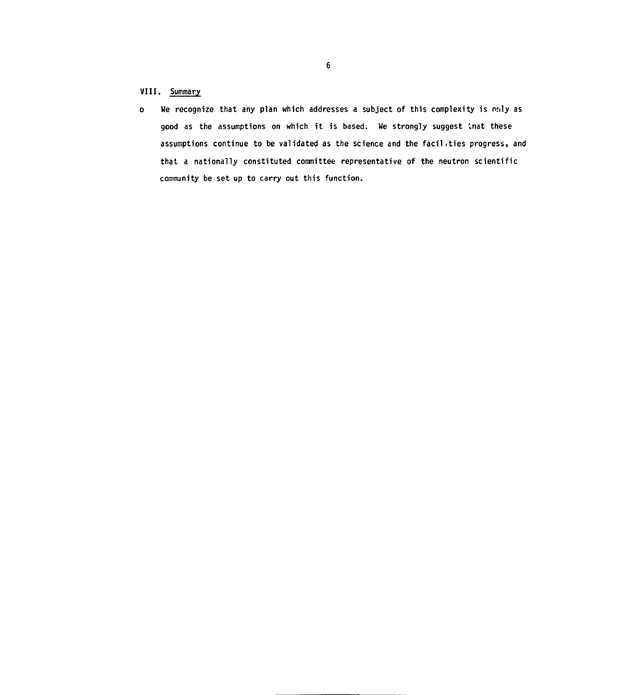**VIII. Summary**

**o We recognize that any plan which addresses a subject of this complexity is only as good as the assumptions on which it is based. We strongly suggest inat these assumptions continue to be validated as the science and the facilities progress, and that a nationally constituted committee representative of the neutron scientific community be set up to carry out this function.**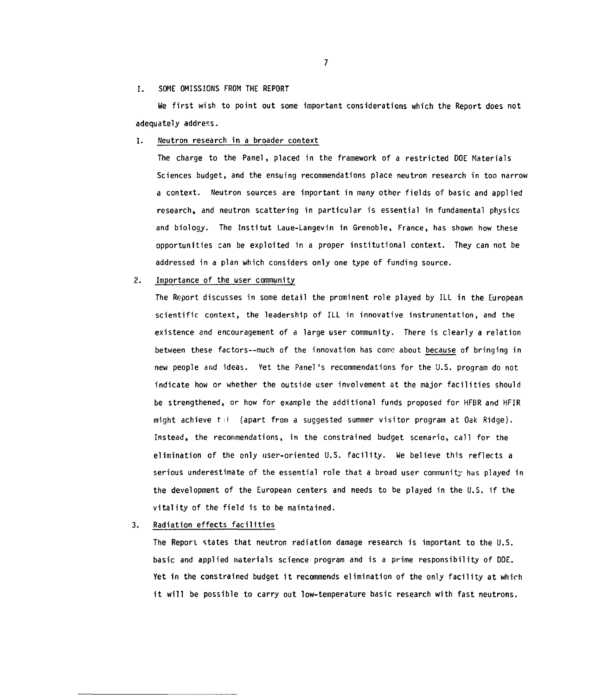I. SOME OMISSIONS FROM THE REPORT

We first wish to point out some important considerations which the Report does not adequately address.

1. Neutron research in a broader context

The charge to the Panel, placed in the framework of a restricted DOE Materials Sciences budget, and the ensuing recommendations place neutron research in too narrow a context. Neutron sources are important in many other fields of basic and applied research, and neutron scattering in particular is essential in fundamental physics and biology. The Institut Laue-Langevin in Grenoble, France, has shown how these opportunities can be exploited in a proper institutional context. They can not be addressed in a plan which considers only one type of funding source.

2. Importance of the user community

The Report discusses in some detail the prominent role played by ILL in the European scientific context, the leadership of ILL in innovative instrumentation, and the existence and encouragement of a large user community. There is clearly a relation between these factors—much of the innovation has come about because of bringing in new people and ideas. Yet the Panel's recommendations for the U.S. program do not indicate how or whether the outside user involvement at the major facilities should be strengthened, or how for example the additional funds proposed for HFBR and HFIR might achieve  $t \rightarrow i$  (apart from a suggested summer visitor program at Oak Ridge). Instead, the recommendations, in the constrained budget scenario, call for the elimination of the only user-oriented U.S. facility. We believe this reflects a serious underestimate of the essential role that a broad user community has played in the development of the European centers and needs to be played in the U.S. if the vitality of the field is to be maintained.

# 3. Radiation effects facilities

The Report states that neutron radiation damage research is important to the U.S. basic and applied materials science program and is a prime responsibility of DOE. Yet in the constrained budget it recommends elimination of the only facility at which it **will** be possible to carry out low-temperature basic research with fast neutrons.

 $\overline{7}$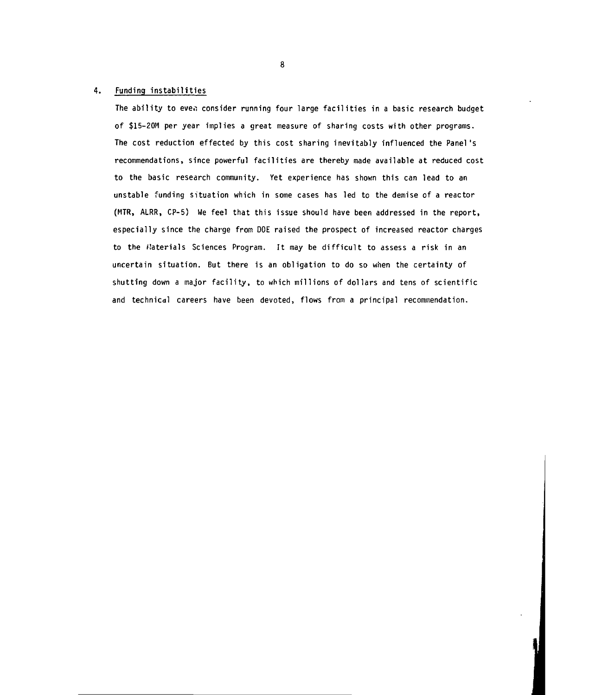# **4. Funding instabilities**

**The ability to even consider running four large facilities in a basic research budget of \$15-20M per year implies a great measure of sharing costs with other programs. The cost reduction effected by this cost sharing inevitably influenced the Panel's recommendations, since powerful facilities are thereby made available at reduced cost to the basic research community. Yet experience has shown this can lead to an unstable funding situation which in some cases has led to the demise of a reactor (MTR, ALRR, CP-5) We feel that this issue should have been addressed in the report, especially since the charge from DOE raised the prospect of increased reactor charges to the Materials Sciences Program. It may be difficult to assess a risk in an uncertain situation. But there is an obligation to do so when the certainty of shutting down a major facility, to which millions of dollars and tens of scientific and technicdl careers have been devoted, flows from a principal recommendation.**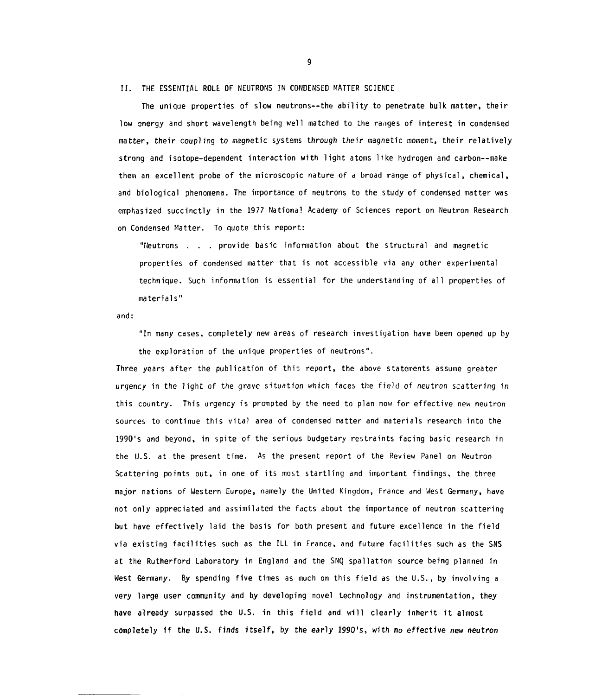II. THE ESSENTIAL ROLE OF NEUTRONS IN CONDENSED MATTER SCIENCE

**The unique properties of slow neutrons--the ability to penetrate bulk matter, their low snergy and short wavelength being well matched to the ranges of interest in condensed matter, their coupling to magnetic systems through their magnetic moment, their relatively strong and isotope-dependent interaction with light atoms like hydrogen and carbon—make them an excellent probe of the microscopic nature of a broad range of physical, chemical, and biological phenomena. The importance of neutrons to the study of condensed matter was emphasized succinctly in the 1977 National Academy of Sciences report on Neutron Research on Condensed Matter. To quote this report:**

**"Neutrons . . . provide basic information about the structural and magnetic properties of condensed matter that is not accessible via any other experimental technique. Such information is essential for the understanding of all properties of materials"**

**and:**

**"In many cases, completely new areas of research investigation have been opened up by the exploration of the unique properties of neutrons".**

**Three years after the publication of this report, the above statements assume greater urgency in the light of the grave situation which faces the field of neutron scattering in this country. This urgency is prompted by the need to plan now for effective new neutron sources to continue this vital area of condensed matter and materials research into the 1990's and beyond, in spite of the serious budgetary restraints facing basic research in the U.S. at the present time. As the present report of the Review Panel on Neutron Scattering points out, in one of its most startling and important findings, the three major nations of Western Europe, namely the United Kingdom, France and West Germany, have not only appreciated and assimilated the facts about the importance of neutron scattering but have effectively laid the basis for both present and future excellence in the field via existing facilities such as the ILL in France, and future facilities such as the SNS at the Rutherford Laboratory in England and the SNQ spallation source being planned in West Germany. By spending five times as much on this field as the U.S., by involving a very large user community and by developing novel technology and instrumentation, they have already surpassed the U.S. in this field and will clearly inherit it almost completely if the U.S. finds itself, by the early 1990's, with no effective new neutron**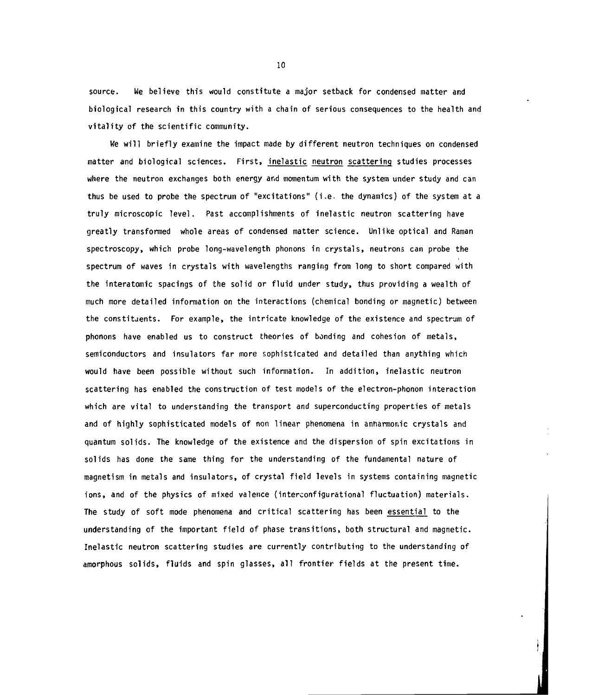**source. We believe this would constitute a major setback for condensed matter and biological research in this country with a chain of serious consequences to the health and vitality of the scientific community.**

**We will briefly examine the impact made by different neutron techniques on condensed matter and biological sciences. First, inelastic neutron scattering studies processes where the neutron exchanges both energy and momentum with the system under study and can thus be used to probe the spectrum of "excitations" (i.e. the dynamics) of the system at a truly microscopic level. Past accomplishments of inelastic neutron scattering have greatly transformed whole areas of condensed matter science. Unlike optical and Raman spectroscopy, which probe long-wavelength phonons in crystals, neutrons can probe the spectrum of waves in crystals with wavelengths ranging from long to short compared with the interatomic spacings of the solid or fluid under study, thus providing a wealth of much more detailed information on the interactions (chemical bonding or magnetic) between the constituents. For example, the intricate knowledge of the existence and spectrum of phonons have enabled us to construct theories of bonding and cohesion of metals, semiconductors and insulators far more sophisticated and detailed than anything which would have been possible without such information. In addition, inelastic neutron scattering has enabled the construction of test models of the electron-phonon interaction which are vital to understanding the transport and superconducting properties of metals and of highly sophisticated models of non linear phenomena in anharmonic crystals and quantum solids. The knowledge of the existence and the dispersion of spin excitations in solids has done the same thing for the understanding of the fundamental nature of magnetism in metals and insulators, of crystal field levels in systems containing magnetic ions, and of the physics of mixed valence (interconfigurational fluctuation) materials. The study of soft mode phenomena and critical scattering has been essential to the understanding of the important field of phase transitions, both structural and magnetic. Inelastic neutron scattering studies are currently contributing to the understanding of amorphous solids, fluids and spin glasses, all frontier fields at the present time.**

**J**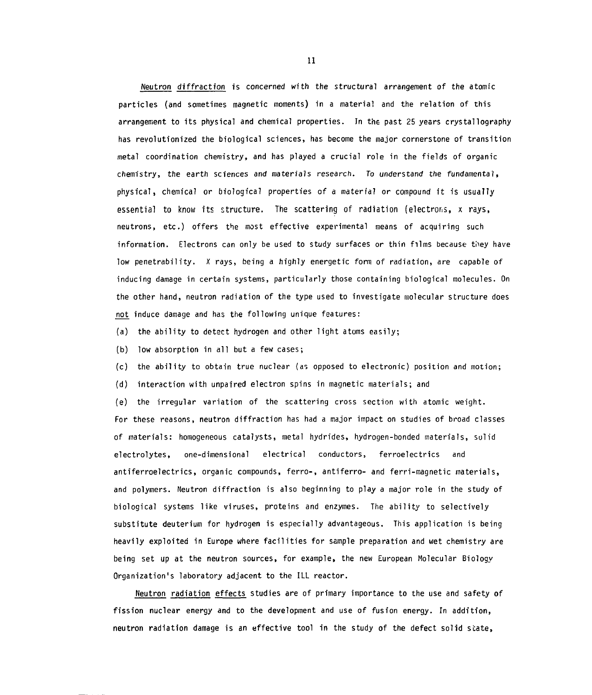**Neutron diffraction is concerned with the structural arrangement of the atomfc particles (and sometimes magnetic moments) in a material and the relation of this arrangement to its physical and chemical properties. In the past 25 years crystallography has revolutionized the biological sciences, has become the major cornerstone of transition metal coordination chemistry, and has played a crucial role in the fields of organic chemistry, the earth sciences and materials research. To understand the fundamental, physical, chemical or biological properties of a material or compound it is usually essential to know its structure. The scattering of radiation (electrons, x rays, neutrons, etc.) offers the most effective experimental means of acquiring such** information. Electrons can only be used to study surfaces or thin films because they have **low penetrability. X rays, being a highly energetic form of radiation, are capable of inducing damage in certain systems, particularly those containing biological molecules. On the other hand, neutron radiation of the type used to investigate molecular structure does not induce damage and has the following unique features:**

**(a) the ability to detect hydrogen and other light atoms easily;**

**(b) low absorption in all but a few cases;**

**(c) the ability to obtain true nuclear (as opposed to electronic) position and motion;**

**(d) interaction with unpaired electron spins in magnetic materials; and**

**(e) the irregular variation of the scattering cross section with atomic weight. For these reasons, neutron diffraction has had a major impact on studies of broad classes of materials: homogeneous catalysts, metal hydrides, hydrogen-bonded materials, solid electrolytes, one-dimensional electrical conductors, ferroelectrics and antiferroelectrics, organic compounds, ferro-, antiferro- and ferri-magnetic materials, and polymers. Neutron diffraction is also beginning to play a major role in the study of biological systems like viruses, proteins and enzymes. The ability to selectively substitute deuterium for hydrogen is especially advantageous. This application is being heavily exploited in Europe where facilities for sample preparation and wet chemistry are being set up at the neutron sources, for example, the new European Molecular Biology Organization's laboratory adjacent to the ILL reactor.**

**Neutron radiation effects studies are of primary importance to the use and safety of fission nuclear energy and to the development and use of fusion energy. In addition, neutron radiation damage is an effective tool in the study of the defect solid state,**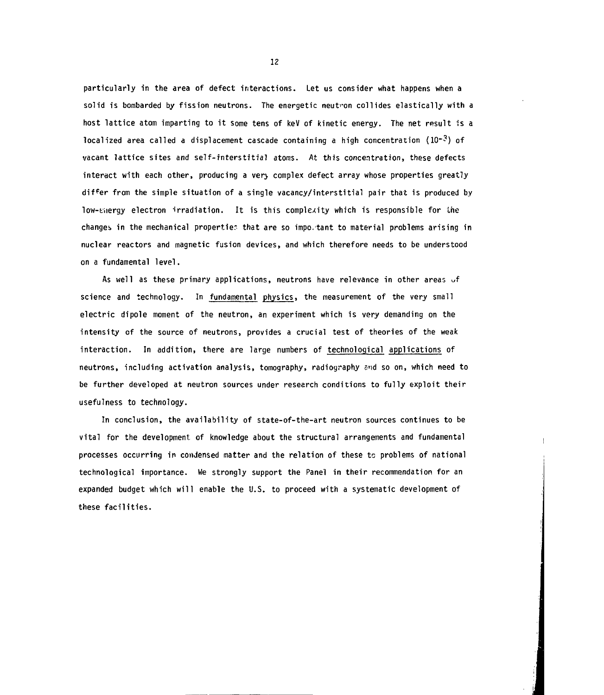**particularly in the area of defect interactions. Let us consider what happens when a solid is bombarded by fission neutrons. The energetic neutron collides elastically with a host lattice atom imparting to it some tens of keV of kinetic energy. The net result is a localized area called a displacement cascade containing a high concentration (10"') of vacant lattice sites and self-interstitial atoms. At this concentration, these defects** interact with each other, producing a very complex defect array whose properties greatly **dif<sup>f</sup>er from the simple situation of a single vacancy/interstitial pair that is produced by low-tiiergy electron irradiation. It is this complexity which is responsible for the** changes in the mechanical properties that are so important to material problems arising in **nuclear reactors and magnetic fusion devices, and which therefore needs to be understood on a fundamental level.**

**As well as these primary applications, neutrons have relevance in other areas uf science and technology. In fundamental physics, the measurement of the very small electric dipole moment of the neutron, an experiment which is very demanding on the intensity cf the source of neutrons, provides a crucial test of theories of the weak interaction. In addition, there are large numbers of technological applications of neutrons, including activation analysis, tomography, radiography snd so on, which need to be further developed at neutron sources under research conditions to fully exploit their usefulness to technology.**

**In conclusion, the availability of state-of-the-art neutron sources continues to be vital for the development of knowledge about the structural arrangements and fundamental processes occurring in condensed matter and the relation of these tc problems of national technological importance. We strongly support the Panel in their recommendation for an expanded budget which will enable the U.S. to proceed with a systematic development of these facilities.**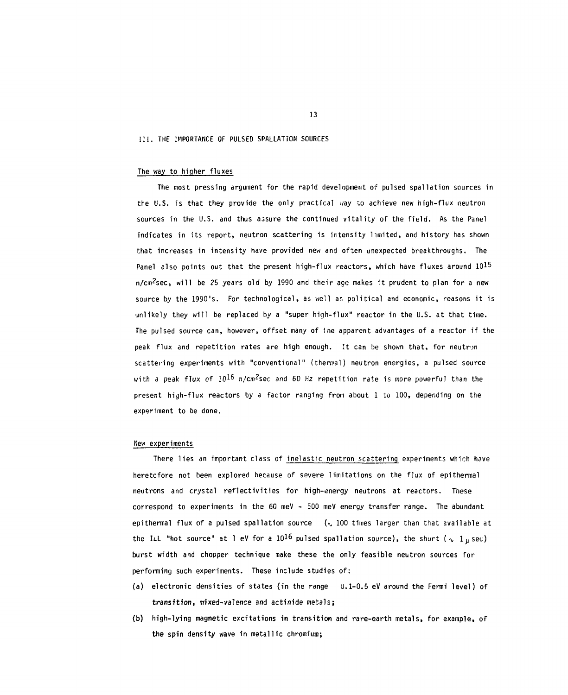### **III. THE IMPORTANCE OF PULSED SPALLATION SOURCES**

#### **The way to higher fluxes**

**The most pressing argument for the rapid development of pulsed spallation sources in the U.S. is that they provide the only practical way ;.o achieve new high-flux neutron sources in the U.S. and thus assure the continued vitality of the field. As the Panel indicates in its report, neutron scattering is intensity limited, and history has shown that increases in intensity have provided new and often unexpected breakthroughs. The Panel also points out that the present high-flux reactors, which have fluxes around 1015 n/cm^sec, will be 25 years old by 1990 and their age makes it prudent to plan for a new source by the 1990's. For technological, as well as political and economic, reasons it is unlikely they will be replaced by a "super high-flux" reactor in the U.S. at that time. The pulsed source can, however, offset many of 1he apparent advantages of a reactor if the peak flux and repetition rates are high enough. It can be shown that, for neutron scattering experiments with "conventional" (thermal) neutron energies, a pulsed source** with a peak flux of 10<sup>16</sup> n/cm<sup>2</sup>sec and 60 Hz repetition rate is more powerful than the **present high-flux reactors by a factor ranging from about 1 to 100, depending on the experiment to be done.**

#### **New experiments**

**There lies an important class of inelastic neutron scattering experiments which have heretofore not been explored because of severe limitations on the flux of epithermal neutrons and crystal reflectivities for high-energy neutrons at reactors. These correspond to experiments in the 60 meV - 500 meV energy transfer range. The abundant epithermal flux of a pulsed spallation source (% 100 times larger than that available at** the ILL "hot source" at 1 eV for a 10<sup>16</sup> pulsed spallation source), the short ( $\sqrt{l}$  l<sub>u</sub> sec) **burst width and chopper technique make these the only feasible neutron sources for performing such experiments. These include studies of:**

- **(a) electronic densities of states (in the range U.l-0.5 eV around the Fermi level) of transition, mixed-valence and actinide metals;**
- **(b) high-lying magnetic excitations in transition and rare-earth metals, for example, of the spin density wave in metallic chromium;**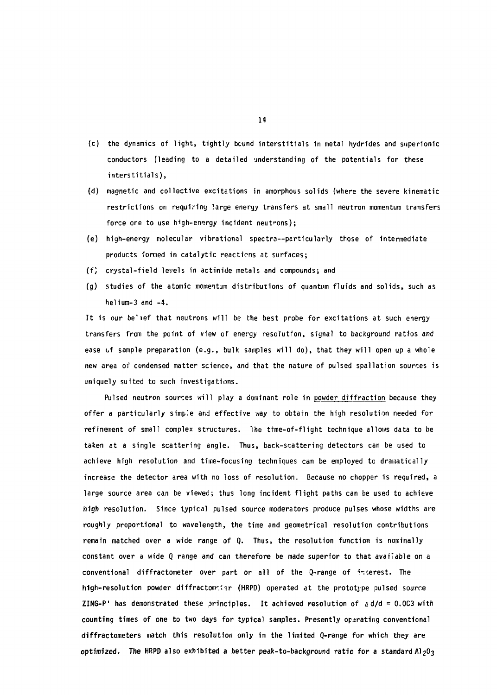- (c) the dynamics of light, tightly bcund interstitials in metal hydrides and superionic conductors (leading to a detailed understanding of the potentials for these interstitials),
- (d) magnetic and collective excitations in amorphous solids (where the severe kinematic restrictions on requiring large energy transfers at small neutron momentum transfers force one to use h'gh-energy incident neutrons);
- (e) high-energy molecular vibrational spectra—particularly those of intermediate products formed in catalytic reactions at surfaces;
- (f) crystal-field levels in actinide metals and compounds; and
- (g) studies of the atomic momentum distributions of quantum fluids and solids, such as helium-3 and -4.

It is our be'ief that neutrons will be the best probe for excitations at such energy transfers from the point of view of energy resolution, signal to background ratios and ease of sample preparation (e.g., bulk samples will do), that they will open up a whole new area of condensed matter science, and that the nature of pulsed spallation sources is uniquely suited to such investigations.

Pulsed neutron sources will play a dominant role in powder diffraction because they offer a particularly simple and effective way to obtain the high resolution needed for refinement of small complex structures. The time-of-flight technique allows data to be taken at a single scattering angle. Thus, back-scattering detectors can be used to achieve high resolution and time-focusing techniques can be employed to dramatically increase the detector area with no loss of resolution. Because no chopper is required, a large source area can be viewed; thus long incident flight paths can be used to achieve high resolution. Since typical pulsed source moderators produce pulses whose widths are roughly proportional to wavelength, the time and geometrical resolution contributions remain matched over a wide range of Q. Thus, the resolution function is nominally constant over a wide Q range and can therefore be made superior to that available on a conventional diffractometer over part or all of the Q-range of iicerest. The high-resolution powder diffractometer (HRPD) operated at the prototype pulsed source **ZING-P'** has demonstrated these principles. It achieved resolution of ad/d = 0.0C3 with **counting** times of one to two days for typical samples. Presently operating conventional **diffractometers** match **this resolution only** in the limited Q-range for which they are optimized. The HRPD also exhibited a better peak-to-background ratio for a standard Al<sub>2</sub>O<sub>3</sub>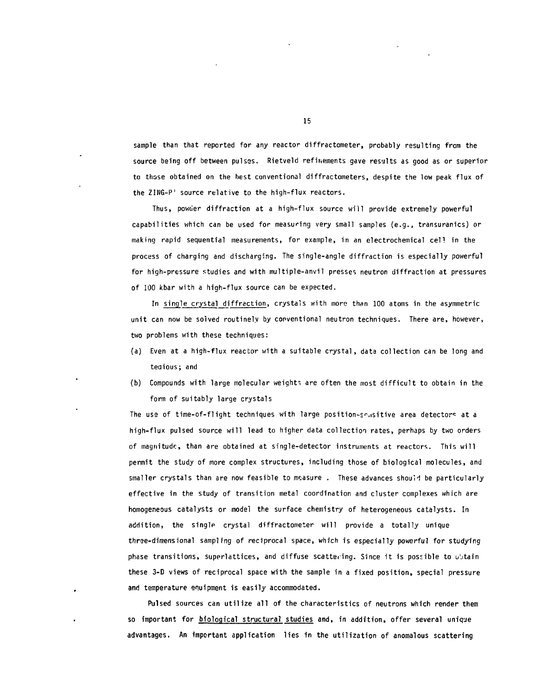**sample than that reported for any reactor diffractometer, probably resulting from the source being off between pulses. Rietveld refinements gave results as good as or superior to those obtained on the best conventional diffractometers, despite the low peak flux of the ZING-P' source relative to the high-flux reactors.**

**Thus, powder diffraction at a high-flux source will provide extremely powerful capabilities which can be used for measuring very small samples (e.g., transuranics) or making rapid sequential measurements, for example, in an electrochemical cell in the process of charging and discharging. The single-angle diffraction is especially powerful for high-pressure studies and with multiple-anvil presses neutron diffraction at pressures of 100 kbar with a high-flux source can be expected.**

**In single crystal diffraction, crystals with more than 100 atoms in the asymmetric unit can now be solved routinely by conventional neutron techniques. There are, however, two problems with these techniques:**

- **(a) Even at a high-flux reactor with a suitable crystal, data collection can be long and tedious; and**
- **(b) Compounds with large molecular weights are often the most difficult to obtain in the form of suitably large crystals**

The use of time-of-flight techniques with large position-seasitive area detectors at a **high-flux pulsed source will lead to higher data collection rates, perhaps by two orders of magnitude, than are obtained at single-detector instruments at reactors. This will permit the study of more complex structures, including those of biological molecules, and** smaller crystals than are now feasible to measure . These advances should be particularly **effective in the study of transition metal coordination and cluster complexes which are homogeneous catalysts or model the surface chemistry of heterogeneous catalysts. In addition, the single crystal diffractometer will provide a totally unique** three-dimensional sampling of reciprocal space, which is especially powerful for studying **phase transitions, superlattices, and diffuse scattering. Since it is possible to obtain these 3-D views of reciprocal space with the sample in a fixed position, special pressure and temperature equipment is easily accommodated.**

**Pulsed sources can utilize all of the characteristics of neutrons which render them so important for biological structural studies and, in addition, offer several unique advantages. An important application lies in the utilization of anomalous scattering**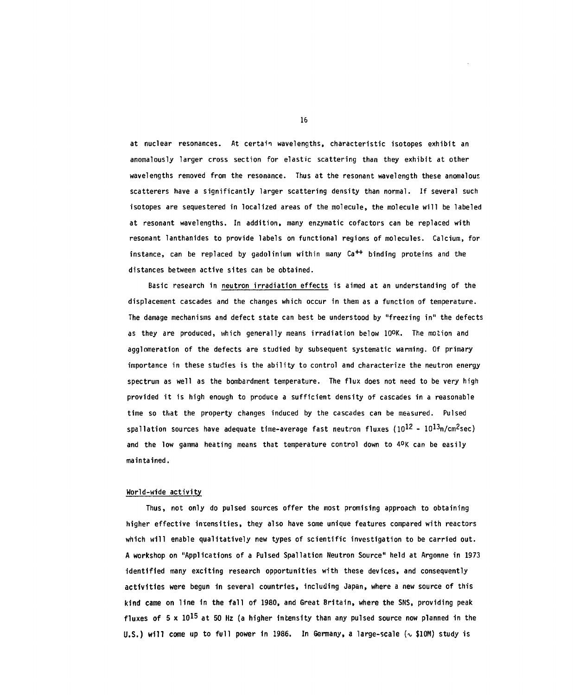**at nuclear resonances. At certain wavelengths, characteristic isotopes exhibit an anomalously larger cross section for elastic scattering than they exhibit at other wavelengths removed from the resonance. Thus at the resonant wavelength these anomalous scatterers have a significantly larger scattering density than normal. If several such isotopes are sequestered in localized areas of the molecule, the molecule will be labeled at resonant wavelengths. In addition, many enzymatic cofactors can be replaced with resonant lanthanides to provide labels on functional regions of molecules. Calcium, for instance, can be replaced by gadolinium within many Ca\*",, binding proteins and the distances between active sites can be obtained.**

**Basic research in neutron irradiation effects is aimed at an understanding of the displacement cascades and the changes which occur in them as a function of temperature. The damage mechanisms and defect state can best be understood by "freezing in" the defects as they are produced, which generally means irradiation below 10°K. The motion and agglomeration of the defects are studied by subsequent systematic warming. Of primary importance in these studies is the ability to control and characterize the neutron energy spectrum as well as the bombardment temperature. The flux does not need to be very high provided it is high enough to produce a sufficient density of cascades in a reasonable time so that the property changes induced by the cascades can be measured. Pulsed** spallation sources have adequate time-average fast neutron fluxes (10<sup>12</sup> - 10<sup>13</sup>n/cm<sup>2</sup>sec) **and the low gamma heating means that temperature control down to 4°K can be easily maintained.**

### **World-wide activity**

**Thus, not only do pulsed sources offer the most promising approach to obtaining higher effective intensities, they also have some unique features compared with reactors which will enable qualitatively new types of scientific investigation to be carried out. A workshop on "Applications of a Pulsed Spallation Neutron Source" held at Argonne in 1973 identified many exciting research opportunities with these devices, and consequently activities were begun 1n several countries, including Japan, where a new source of this kind came on line 1n the fall of 1980, and Great Britain, where the SNS, providing peak** fluxes of 5 x 10<sup>15</sup> at 50 Hz (a higher intensity than any pulsed source now planned in the  $U.S.$ ) will come up to full power in 1986. In Germany, a large-scale  $(\sim $10M)$  study is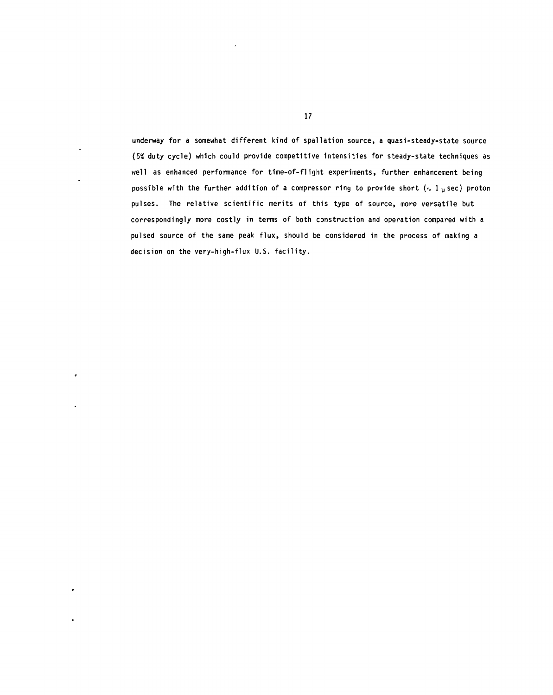**underway for a somewhat different kind of spallation source, a quasi-steady-state source (5% duty cycle) which could provide competitive intensities for steady-state techniques as well as enhanced performance for time-of-flight experiments, further enhancement being** possible with the further addition of a compressor ring to provide short  $(\sim 1 \, \mu \, \text{sec})$  proton **pulses. The relative scientific merits of this type of source, more versatile but correspondingly more costly in terms of both construction and operation compared with a pulsed source of the same peak flux, should be considered in the process of making a decision on the very-high-flux U.S. facility.**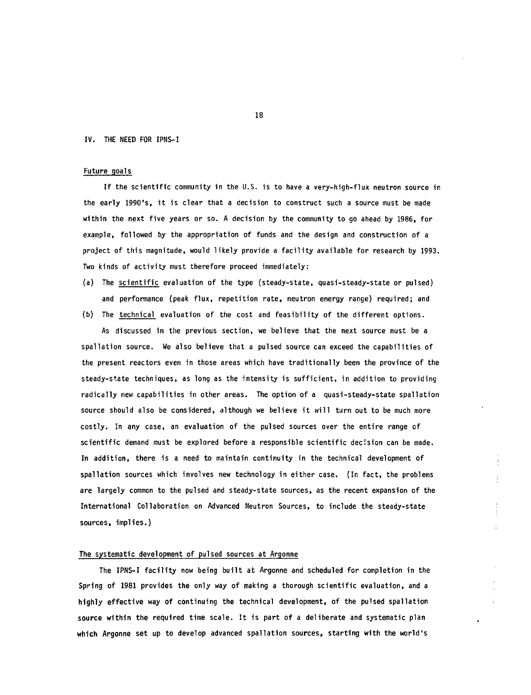#### **IV. THE NEED FOR IPNS-I**

## **Future goals**

**If the scientific community in the U.S. is to have a very-high-flux neutron source in the early 1990's, it is clear that a decision to construct such a source must be made within the next five years or so. A decision by the community to go ahead by 1986, for example, followed by the appropriation of funds and the design and construction of a project of this magnitude, would likely provide a facility available for research by 1993. Two kinds of activity must therefore proceed immediately:**

- **(a) The scientific evaluation of the type (steady-state, quasi-steady-state or pulsed) and performance (peak flux, repetition rate, neutron energy range) required; and**
- **(b) The technical evaluation of the cost and feasibility of the different options.**

**As discussed in the previous section, we believe that the next source must be a spallation source. We also believe that a pulsed source can exceed the capabilities of the present reactors even in those areas which have traditionally been the province of the steady-state techniques, as long as the intensity is sufficient, in addition to providing radically new capabilities in other areas. The option of a quasi-steady-state spallation source should also be considered, although we believe it will turn out to be much more costly. In any case, an evaluation of the pulsed sources over the entire range of scientific demand must be explored before a responsible scientific decision can be made. In addition, there is a need to maintain continuity in the technical development of spallation sources which involves new technology in either case. (In fact, the problems are largely common to the pulsed and steady-state sources, as the recent expansion of the International Collaboration on Advanced Neutron Sources, to include the steady-state sources, implies.)**

### **The systematic development of pulsed sources at Argonne**

**The IPNS-I facility now being built at Argonne and scheduled for completion in the Spring of 1981 provides the only way of making a thorough scientific evaluation, and a highly effective way of continuing the technical development, of the pulsed spallation source within the required time scale. It is part of a deliberate and systematic plan which Argonne set up to develop advanced spallation sources, starting with the world's**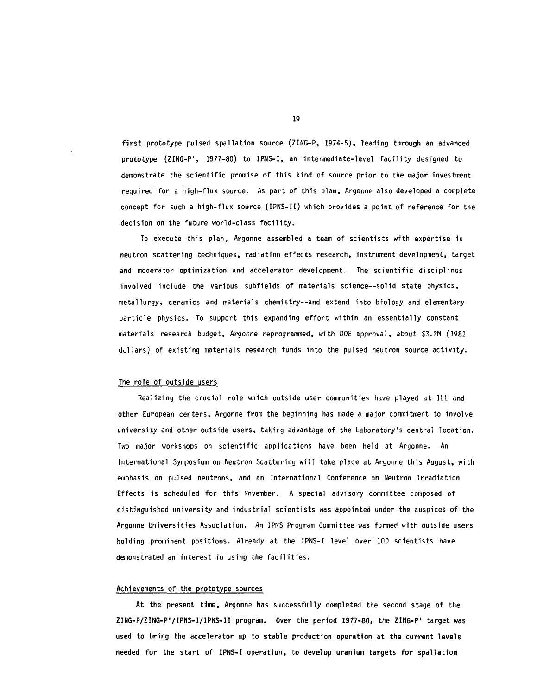**first prototype pulsed spallation source (ZING-P, 1974-5), leading through an advanced prototype (ZING-P,, 1977-80} to IPNS-I, an intermediate-level facility designed to demonstrate the scientific promise of this kind of source prior to the major investment required for a high-flux source. As part of this plan, Argonne also developed a complete concept for such a high-flux source (IPNS-II) which provides a point of reference for the decision on the future world-class facility.**

**To execute this plan, Argonne assembled a team of scientists with expertise in neutron scattering techniques, radiation effects research, instrument development, target and moderator optimization and accelerator development. The scientific disciplines involved include the various subfields of materials science—solid state physics, metallurgy, ceramics and materials chemistry--and extend into biology and elementary particle physics. To support this expanding effort within an essentially constant materials research budget, Argonne reprogrammed, with DOE approval, about \$3.2M (1981 dollars) of existing materials research funds into the pulsed neutron source activity.**

#### **The role of outside users**

**Realizing the crucial role which outside user communities have played at ILL and other European centers, Argonne from the beginning has made a major commitment to involve university and other outside users, taking advantage of the Laboratory's central location. Two major workshops on scientific applications have been held at Argonne. An International Symposium on Neutron Scattering will take place at Argonne this August, with emphasis on pulsed neutrons, and an International Conference on Neutron Irradiation Effects is scheduled for this November. A special advisory committee composed of distinguished university and industrial scientists was appointed under the auspices of the Argonne Universities Association. An IPNS Program Committee was formed with outside users holding prominent positions. Already at the IPNS-I level over 100 scientists have demonstrated an interest in using the facilities.**

#### **Achievements of the prototype sources**

**At the present time, Argonne has successfully completed the second stage of the ZING-P/ZING-PyiPNS-I/IPNS-II program. Over the period 1977-80, the ZING-P, target was used to bring the accelerator up to stable production operation at the current levels needed for the start of IPNS-I operation, to develop uranium targets for spallation**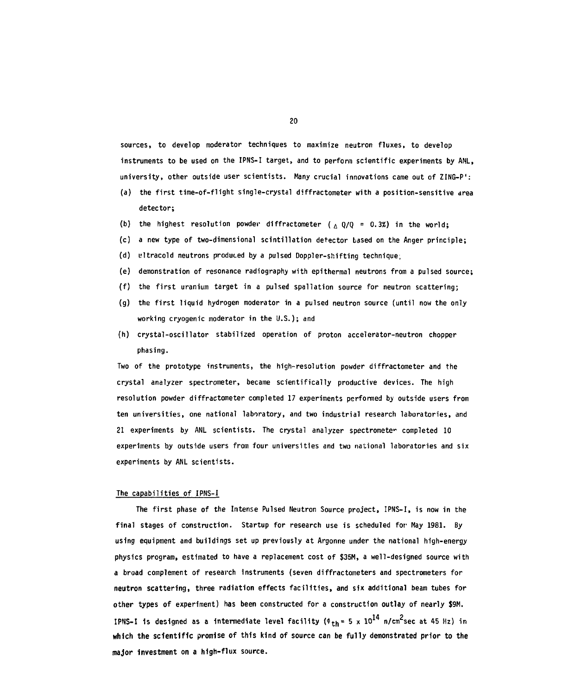sources, to develop moderator techniques to maximize neutron fluxes, to develop instruments to be used on the IPNS-I target, and to perform scientific experiments by ANL, university, other outside user scientists. Many crucial innovations came out of ZING-P':

- (a) the first time-of-flight single-crystal diffractometer with a position-sensitive area detector;
- (b) the highest resolution powder diffractometer ( $\triangle$  Q/Q = 0.3%) in the world;
- (c) a new type of two-dimensional scintillation detector based on the Anger principle;
- (d) L'ltracold neutrons produced by a pulsed Doppler-shifting technique;
- (e) demonstration of resonance radiography with epithermal neutrons from a pulsed source;
- (f) the first uranium target in a pulsed spallation source for neutron scattering;
- (g) the first liquid hydrogen moderator in a pulsed neutron source (until now the only working cryogenic moderator in the U.S.); and
- (h) crystal-oscillator stabilized operation of proton accelerator-neutron chopper phasing.

Two of the prototype instruments, the high-resolution powder diffractometer and the crystal analyzer spectrometer, became scientifically productive devices. The high resolution powder diffractometer completed 17 experiments performed by outside users from ten universities, one national laboratory, and two industrial research laboratories, and 21 experiments by ANL scientists. The crystal analyzer spectrometer completed 10 experiments by outside users from four universities and two national laboratories and six experiments by ANL scientists.

#### The capabilities of IPNS-I

The first phase of the Intense Pulsed Neutron Source project, IPNS-I, is now in the final stages of construction. Startup for research use is scheduled for May 1981. By using equipment and buildings set up previously at Argonne under the national high-energy physics program, estimated to have a replacement cost of \$35M, a well-designed source with a broad complement of research instruments (seven diffractometers and spectrometers for **neutron** scattering, three radiation effects facilities, and six additional beam tubes for other types of experiment) has been constructed for a construction outlay of nearly \$9M. IPNS-I is designed as a intermediate level facility (0<sub>th</sub>= 5 x 10<sup>14</sup> n/cm<sup>2</sup>sec at 45 Hz) i **which the scientific** promise of this kind of source can be fully demonstrated prior to **the major Investment on a high-flux** source.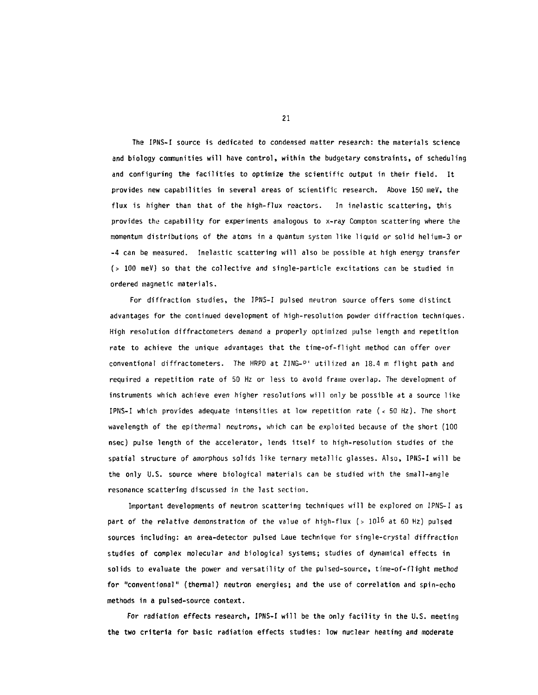**The IPNS-I source is dedicated to condensed matter research: the materials science and biology communities will have control, within the budgetary constraints, of scheduling and configuring the facilities to optimize the scientific output in their field. It provides new capabilities in several areas of scientific research. Above 150 meV, the flux is higher than that of the high-flux reactors. In inelastic scattering, this provides the capability for experiments analogous to x-ray Compton scattering where the momentum distributions of the atoms in a quantum system like liquid or solid helium-3 or -4 can be measured. Inelastic scattering will also be possible at high energy transfer (> 100 meV) so that the collective and single-particle excitations can be studied in ordered magnetic materials.**

**For diffraction studies, the IPNS-I pulsed neutron source offers some distinct advantages for the continued development of high-resolution powder diffraction techniques. High resolution diffractometers demand a properly optimized pulse length and repetition rate to achieve the unique advantages that the time-of-flight method can offer over conventional diffractometers. The HRPD at ZING-<sup>01</sup> utilized an 18.4 m flight path and required a repetition rate of 50 Hz or less to avoid frame overlap. The development of instruments which achieve even higher resolutions will only be possible at a source like IPNS-I which provides adequate intensities at low repetition rate (< 50 Hz). The short wavelength of the epithermal neutrons, which can be exploited because of the short (100 nsec) pulse length of the accelerator, lends itself to high-resolution studies of the spatial structure of amorphous solids like ternary metallic glasses. Also, IPNS-I will be the only U.S. source where biological materials can be studied with the small-angle resonance scattering discussed in the last section.**

**Important developments of neutron scattering techniques will be explored on IPNS-I as part of the relative demonstration of the value of high-flux (> 1016<sup>a</sup> t 60 Hz) pulsed sources including: an area-detector pulsed Laue technique for single-crystal diffraction studies of complex molecular and biological systems; studies of dynamical effects in solids to evaluate the power and versatility of the pulsed-source, time-of-flight method for "conventional" (thermal) neutron energies; and the use of correlation and spin-echo methods in a pulsed-source context.**

**For radiation effects research, IPNS-I will be the only facility in the U.S. meeting the two criteria for basic radiation effects studies: low nuclear heating and moderate**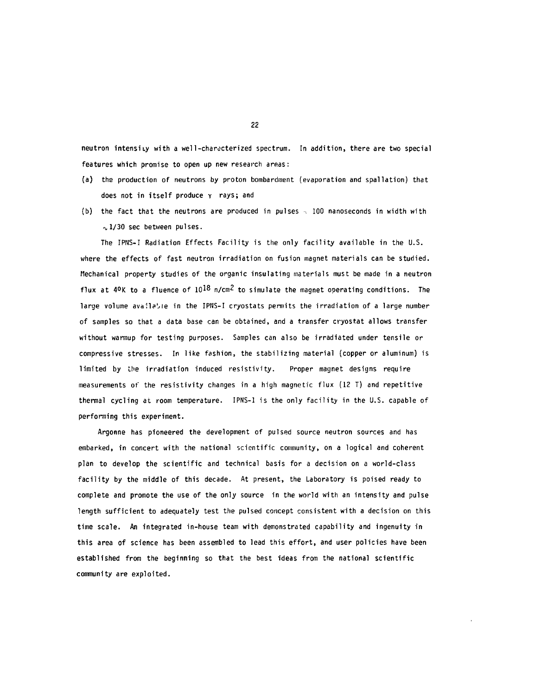**neutron intensity with a well-characterized spectrum. In addition, there are two special features which promise to open up new research areas:**

- **(a) the production of neutrons by proton bombardment (evaporation and spallation) that does not in itself produce y rays; and**
- **(b) the fact that the neutrons are produced in pulses , 100 nanoseconds in width with 1,1/30 sec between pulses.**

**The IPNS-I Radiation Effects Facility is the only facility available in the U.S. where the effects of fast neutron irradiation on fusion magnet materials can be studied. Mechanical property studies of the organic insulating materials must be made in a neutron** flux at  $40K$  to a fluence of  $10^{18}$  n/cm<sup>2</sup> to simulate the magnet operating conditions. The **large volume available in the IPNS-I cryostats permits the irradiation of a large number** of samples so that a data base can be obtained, and a transfer cryostat allows transfer **without warmup for testing purposes. Samples can also be irradiated under tensile or compressive stresses. In like fashion, the stabilizing material (copper or aluminum) is limited by the irradiation induced resistivity. Proper magnet designs require measurements of the resistivity changes in a high magnetic flux (12 T) and repetitive thermal cycling at room temperature. IPNS-I is the only facility in the U.S. capable of performing this experiment.**

**Argonne has pioneered the development of pulsed source neutron sources and has embarked, in concert with the national scientific community, on a logical and coherent plan to develop the scientific and technical basis for a decision on a world-class facility by the middle of this decade. At present, the Laboratory is poised ready to complete and promote the use of the only source in the world with an intensity and pulse length sufficient to adequately test the pulsed concept consistent with a decision on this time scale. An integrated in-house team with demonstrated capability and ingenuity in this area of science has been assembled to lead this effort, and user policies have been established from the beginning so that the best ideas from the national scientific community are exploited.**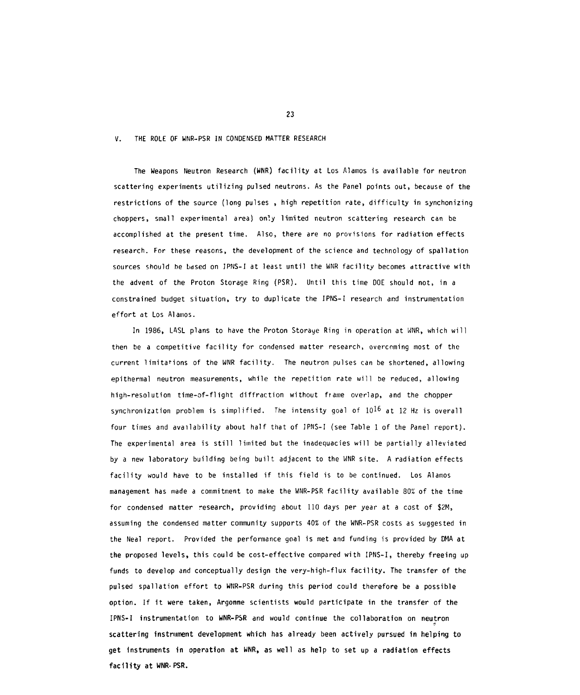#### V. THE ROLE OF WNR-PSR IN CONDENSED MATTER RESEARCH

The Weapons Neutron Research (WNR) facility at Los Alamos is available for neutron scattering experiments utilizing pulsed neutrons. As the Panel points out, because of the restrictions of the source (long pulses , high repetition rate, difficulty in synchonizing choppers, small experimental area) only limited neutron scattering research can be accomplished at the present time. Also, there are no provisions for radiation effects research. For these reasons, the development of the science and technology of spallation sources should be based on IPNS-I at least until the WNR facility becomes attractive with the advent of the Proton Storage Ring (PSR). Until this time DOE should not, in a constrained budget situation, try to duplicate the IPNS-I research and instrumentation effort at Los Alamos.

In 1986, LASL plans to have the Proton Storaye Ring in operation at WNR, which will then be a competitive facility for condensed matter research, overcoming most of the current limitations of the WNR facility. The neutron pulses can be shortened, allowing epithermal neutron measurements, while the repetition rate will be reduced, allowing high-resolution time-of-flight diffraction without frame overlap, and the chopper synchronization problem is simplified. The intensity goal of  $10^{16}$  at 12 Hz is overall four times and availability about half that of IPNS-I (see Table 1 of the Panel report). The experimental area is still limited but the inadequacies will be partially alleviated by a new laboratory building being built adjacent to the WNR site. A radiation effects facility would have to be installed if this field is to be continued. Los Alamos management has made a commitment to make the WNR-PSR facility available 80% of the time for condensed matter research, providing about 110 days per year at a cost of \$2M, assuming the condensed matter community supports 10% of the WNR-PSR costs as suggested in the Neal report. Provided the performance goal is met and funding is provided by DMA at **the** proposed levels, this could be cost-effective compared with IPNS-I, thereby freeing up funds to develop and conceptually design the very-high-flux facility. The transfer of the pulsed spallation effort to WNR-PSR during this period could therefore be a possible **option. If** it **were taken, Argonne** scientists **would** participate in **the** transfer of **the** IPNS-I **instrumentation to WNR-PSR** and **would continue** the **collaboration on neutron scattering instrument development which has already** been **actively** pursued **in helping to get instruments in operation at WNR, as well as help** to **set up** a **radiation effects facility at WNR-PSR.**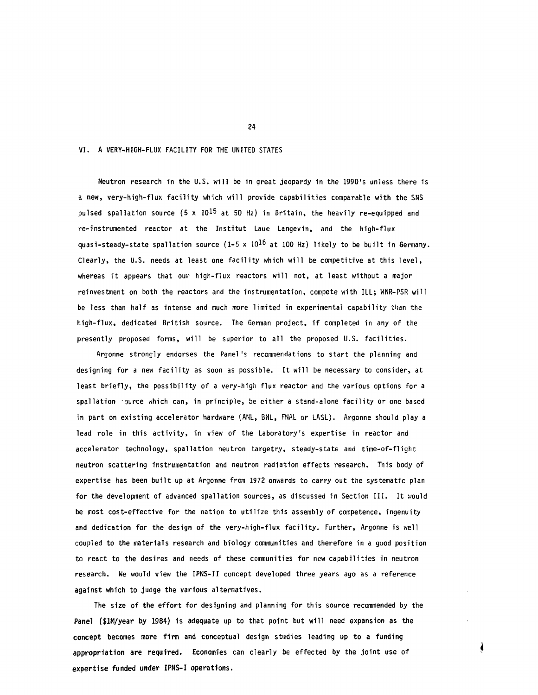#### VI. A VERY-HIGH-FLUX FACILITY FOR THE UNITED STATES

Neutron research in the U.S. will be in great jeopardy in the 1990's unless there is a new, very-high-flux facility which will provide capabilities comparable with the SNS pulsed spallation source  $(5 \times 10^{15}$  at 50 Hz) in Britain, the heavily re-equipped and re-instrumented reactor at the Institut Laue Langevin, and the high-flux quasi-steady-state spallation source  $(1-5 \times 10^{16}$  at 100 Hz) likely to be built in Germany. Clearly, the U.S. needs at least one facility which will be competitive at this level, whereas it appears that our high-flux reactors will not, at least without a major reinvestment on both the reactors and the instrumentation, compete with ILL; WNR-PSR will be less than half as intense and much more limited in experimental capability than the high-flux, dedicated British source. The German project, if completed in any of the presently proposed forms, will be superior to all the proposed U.S. facilities.

Argonne strongly endorses the Panel 's recommendations to start the planning and designing for a new facility as soon as possible. It will be necessary to consider, at least briefly, the possibility of a very-high flux reactor and the various options for a spallation ource which can, in principle, be either a stand-alone facility or one based in part on existing accelerator hardware (ANL, BNL, FNAL or LASL). Argonne should play a lead role in this activity, in view of the Laboratory's expertise in reactor and accelerator technology, spallation neutron targetry, steady-state and time-of-flight neutron scattering instrumentation and neutron radiation effects research. This body of expertise has been built up at Argonne from 1972 onwards to carry out the systematic plan for the development of advanced spallation sources, as discussed in Section III. It would be most cost-effective for the nation to utilize this assembly of competence, ingenuity and dedication for the design of the very-high-flux facility. Further, Argonne is well coupled to the materials research and biology communities and therefore in a good position to react to the desires and needs of these communities for new capabilities in neutron research. We would view the IPNS-II concept developed three years ago as a reference against which to judge the various alternatives.

The size of the effort for designing and planning for this source recommended by the **Panel (\$lM/year by** 1984) is adequate up to that point but will need expansion as the concept becomes more firm and conceptual design studies leading up to a funding **appropriation** are **required.** Economies can clearly be effected by the joint use of **expertise funded under IPNS-I operations.**

į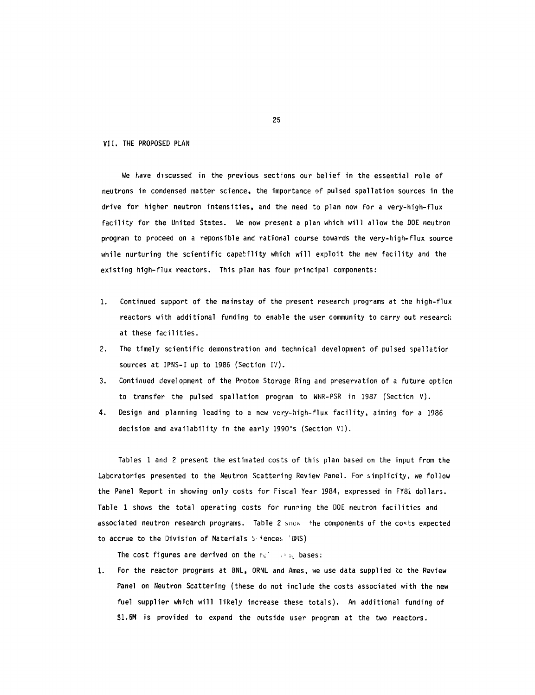**VII. THE PROPOSED PLAN**

**We have discussed in the previous sections our belief in the essential role of neutrons in condensed matter science, the importance of pulsed spallation sources in the drive for higher neutron intensities, and the need to plan now for a very-high-flux facility for the United States. We now present a plan which will allow the DOE neutron program to proceed on a reponsible and rational course towards the very-high-flux source while nurturing the scientific capability which will exploit the new facility and the existing high-flux reactors. This plan has four principal components:**

- **1. Continued support of the mainstay of the present research programs at the high-flux reactors with additional funding to enable the user community to carry out research at these facilities.**
- **2. The timely scientific demonstration and technical development of pulsed spallation sources at IPNS-I up to 1986 (Section IV).**
- **3. Continued development of the Proton Storage Ring and preservation of a future option to transfer the pulsed spallation program to WNR-PSR in 1987 (Section V).**
- **4. Design and planning leading to a new very-high-flux facility, aiming for a 1986 decision and availability in the early 1990's (Section VI).**

**Tables 1 and 2 present the estimated costs of this plan based on the input from the Laboratories presented to the Neutron Scattering Review Panel. For simplicity, we follow the Panel Report in showing only costs for Fiscal Year 1984, expressed in FY81 dollars. Table 1 shows the total operating costs for running the DOE neutron facilities and** associated neutron research programs. Table 2 snow the components of the costs expected to accrue to the Division of Materials 5 *iences* (DMS)

**The cost figures are derived on the**  $tc^*$  **and**  $u$  **bases:** 

**1. For the reactor programs at BNL, ORNL and Ames, we use data supplied to the Review Panel on Neutron Scattering (these do not include the costs associated with the new fuel supplier which will likely increase these totals). An additional funding of \$1.5M is provided to expand the outside user program at the two reactors.**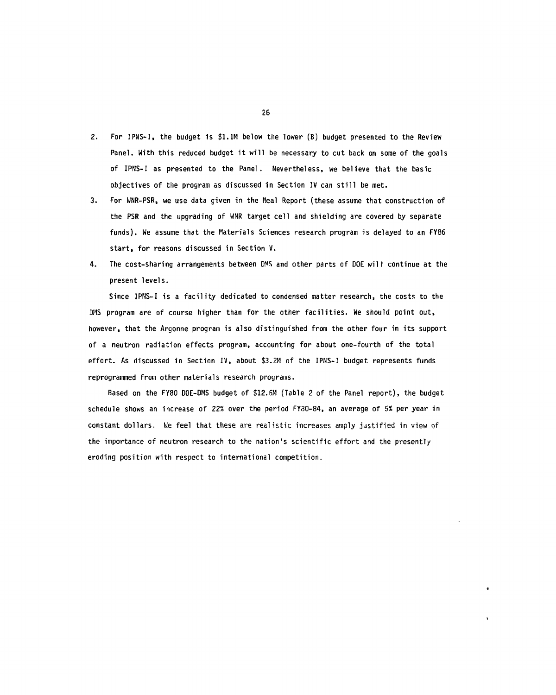- **2. For IPNS-I, the budget is \$1.1H below the lower (B) budget presented to the Review Panel. With this reduced budget it will be necessary to cut back on some of the goals of IPNS-I as presented to the Panel. Nevertheless, we believe that the basic objectives of the program as discussed in Section IV can still be met.**
- **3. For WNR-PSR, we use data given in the Neal Report (these assume that construction of the PSR and the upgrading of WNR target cell and shielding are covered by separate funds). We assume that the Materials Sciences research program is delayed to an FY86 start, for reasons discussed in Section V.**
- **4. The cost-sharing arrangements between DMS and other parts of DOE will continue at the present levels.**

**Since IPNS-I is a facility dedicated to condensed matter research, the costs to the DMS program are of course higher than for the other facilities. We should point out, however, that the Argonne program is also distinguished from the other four in its support of a neutron radiation effects program, accounting for about one-fourth of the total effort. As discussed in Section IV, about \$3.2M of the IPNS-I budget represents funds reprogrammed from other materials research programs.**

**Based on the FY80 DOE-DMS budget of \$12.6M (Table 2 of the Panel report), the budget schedule shows an increase of 22% over the period FY30-84, an average of 5% per year in constant dollars. We feel that these are realistic increases amply justified in view of the importance of neutron research to the nation's scientific effort and the presently eroding position with respect to international competition.**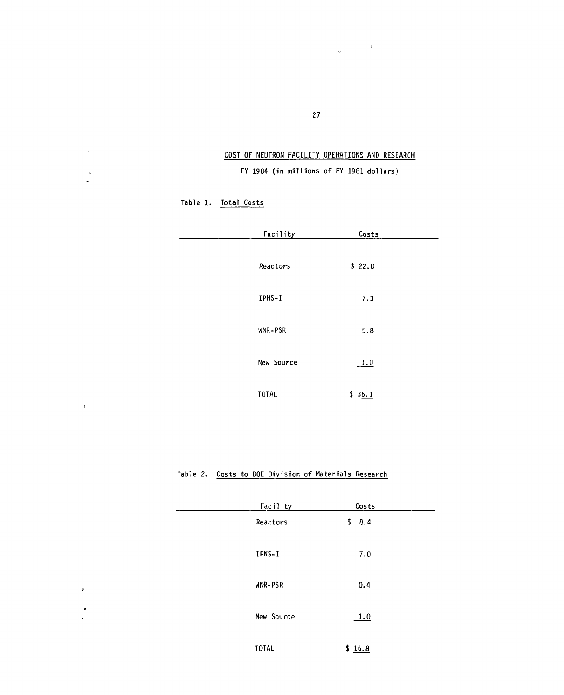# **COST OF NEUTRON FACILITY OPERATIONS AND RESEARCH**

**FY 1984 (in millions of FY 1981 dollars)**

# **Table 1. Total Costs**

 $\sim$ 

 $\frac{1}{2}$ 

 $\mathbf{r}$ 

 $\pmb{\theta}$ 

 $\mathbf{u}$  $\mathcal{L}$ 

| Facility   | Costs  |  |
|------------|--------|--|
| Reactors   | \$22.0 |  |
| IPNS-I     | 7.3    |  |
| WNR-PSR    | 5.8    |  |
| New Source | 1.0    |  |
| TOTAL      | \$36.1 |  |

# **Table 2. Costs to DOE Division of Materials Research**

| Facility     | Costs     |  |
|--------------|-----------|--|
| Reactors     | \$<br>8.4 |  |
| IPNS-I       | 7.0       |  |
| WNR-PSR      | 0.4       |  |
| New Source   | 1.0       |  |
| <b>TOTAL</b> | \$16.8    |  |

 $\frac{d}{dt} \left( \frac{d}{dt} \right) = \frac{d}{dt} \left( \frac{d}{dt} \right)$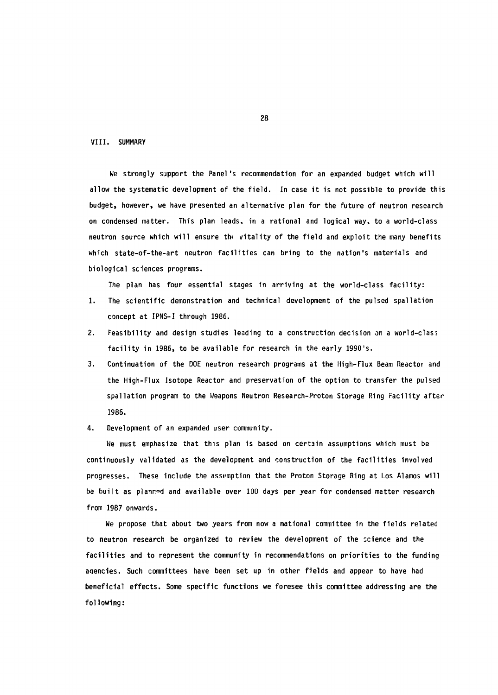**VIII. SUMMARY**

**We strongly support the Panel's recommendation for an expanded budget which will allow the systematic development of the field. In case it is not possible to provide this budget, however, we have presented an alternative plan for the future of neutron research on condensed matter. This plan leads, in a rational and logical way, to a world-class neutron source which will ensure th< vitality of the field and exploit the many benefits which state-of-the-art neutron facilities can bring to the nation's materials and biological sciences programs.**

**The plan has four essential stages in arriving at the world-class facility:**

- **1. The scientific demonstration and technical development of the pulsed spallation concept at IPNS-I through 1986.**
- **2. Feasibility and design studies leading to a construction decision on a world-class facility in 1986, to be available for research in the early 1990's.**
- **3. Continuation of the DOE neutron research programs at the High-Flux Beam Reactor and the High-Flux Isotope Reactor and preservation of the option to transfer the pulsed spallation program to the Weapons Neutron Research-Proton Storage Ring Facility after 1986.**
- **4. Development of an expanded user community.**

**We must emphasize that this plan is based on certain assumptions which must be continuously validated as the development and construction of the facilities involved progresses. These include the assumption that the Proton Storage Ring at Los Alamos will be built as planned and available over 100 days per year for condensed matter research from 1987 onwards.**

**We propose that about two years from now a national committee 1n the fields related to neutron research be organized to review the development of the science and the facilities and to represent the community in recommendations on priorities to the funding aqencies. Such committees have been set up in other fields and appear to have had beneficial effects. Some specific functions we foresee this committee addressing are the following:**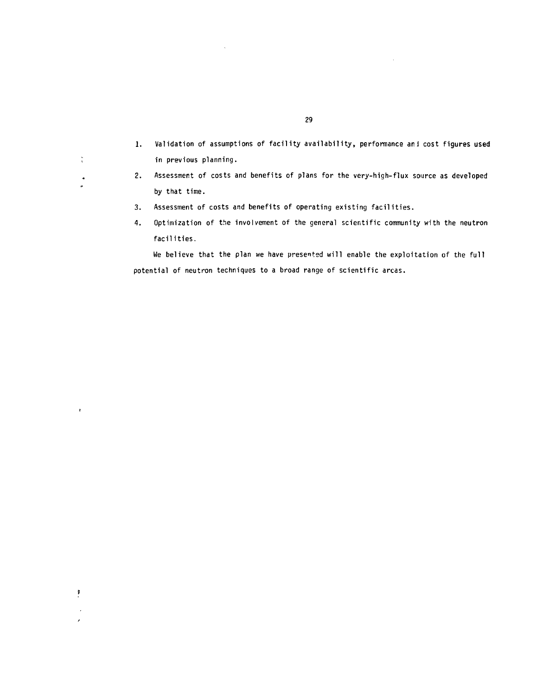|  | Validation of assumptions of facility availability, performance and cost figures used |
|--|---------------------------------------------------------------------------------------|
|  | in previous planning.                                                                 |
|  | Assessment of costs and benefits of plans for the very-high-flux source as developed  |
|  | by that time.                                                                         |
|  | Accessorit if isste and benefits of amoustici injuties fiellitic                      |

**3. Assessment of costs and benefits of operating existing facilities.**

 $\sim$   $\sim$ 

**4. Optimization of the involvement of the general scientific community with the neutron facilities.**

**We believe that the plan we have presented will enable the exploitation of the full potential of neutron techniques to a broad range of scientific areas.**

 $\frac{1}{2}$ 

 $\bar{\mathbf{r}}$ 

 $\frac{6}{3}$ ÷,  $\overline{a}$ 

 $\lambda$ 

 $\bar{z}$